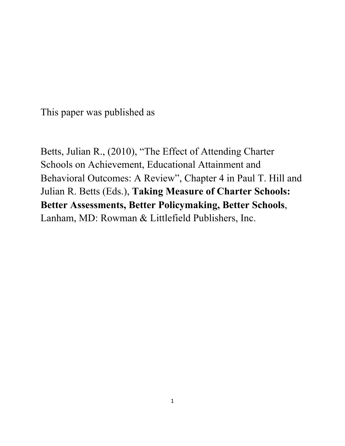This paper was published as

Betts, Julian R., (2010), "The Effect of Attending Charter Schools on Achievement, Educational Attainment and Behavioral Outcomes: A Review", Chapter 4 in Paul T. Hill and Julian R. Betts (Eds.), **Taking Measure of Charter Schools: Better Assessments, Better Policymaking, Better Schools**, Lanham, MD: Rowman & Littlefield Publishers, Inc.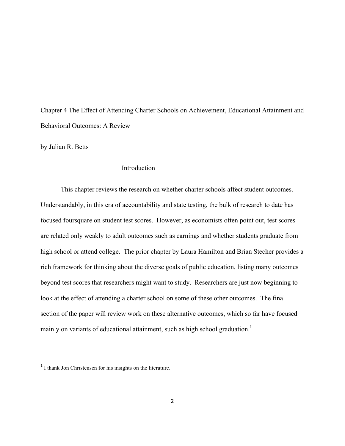Chapter 4 The Effect of Attending Charter Schools on Achievement, Educational Attainment and Behavioral Outcomes: A Review

by Julian R. Betts

### Introduction

This chapter reviews the research on whether charter schools affect student outcomes. Understandably, in this era of accountability and state testing, the bulk of research to date has focused foursquare on student test scores. However, as economists often point out, test scores are related only weakly to adult outcomes such as earnings and whether students graduate from high school or attend college. The prior chapter by Laura Hamilton and Brian Stecher provides a rich framework for thinking about the diverse goals of public education, listing many outcomes beyond test scores that researchers might want to study. Researchers are just now beginning to look at the effect of attending a charter school on some of these other outcomes. The final section of the paper will review work on these alternative outcomes, which so far have focused mainly on variants of educational attainment, such as high school graduation.<sup>1</sup>

 

<sup>&</sup>lt;sup>1</sup> I thank Jon Christensen for his insights on the literature.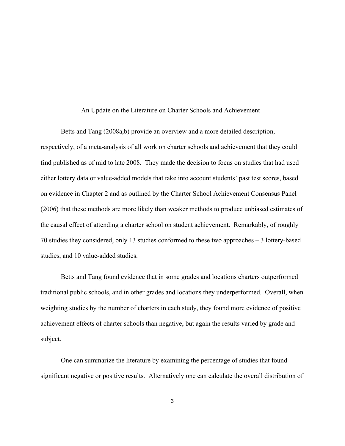#### An Update on the Literature on Charter Schools and Achievement

Betts and Tang (2008a,b) provide an overview and a more detailed description, respectively, of a meta-analysis of all work on charter schools and achievement that they could find published as of mid to late 2008. They made the decision to focus on studies that had used either lottery data or value-added models that take into account students' past test scores, based on evidence in Chapter 2 and as outlined by the Charter School Achievement Consensus Panel (2006) that these methods are more likely than weaker methods to produce unbiased estimates of the causal effect of attending a charter school on student achievement. Remarkably, of roughly 70 studies they considered, only 13 studies conformed to these two approaches – 3 lottery-based studies, and 10 value-added studies.

Betts and Tang found evidence that in some grades and locations charters outperformed traditional public schools, and in other grades and locations they underperformed. Overall, when weighting studies by the number of charters in each study, they found more evidence of positive achievement effects of charter schools than negative, but again the results varied by grade and subject.

One can summarize the literature by examining the percentage of studies that found significant negative or positive results. Alternatively one can calculate the overall distribution of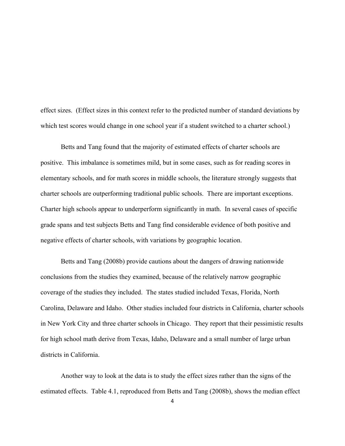effect sizes. (Effect sizes in this context refer to the predicted number of standard deviations by which test scores would change in one school year if a student switched to a charter school.)

Betts and Tang found that the majority of estimated effects of charter schools are positive. This imbalance is sometimes mild, but in some cases, such as for reading scores in elementary schools, and for math scores in middle schools, the literature strongly suggests that charter schools are outperforming traditional public schools. There are important exceptions. Charter high schools appear to underperform significantly in math. In several cases of specific grade spans and test subjects Betts and Tang find considerable evidence of both positive and negative effects of charter schools, with variations by geographic location.

Betts and Tang (2008b) provide cautions about the dangers of drawing nationwide conclusions from the studies they examined, because of the relatively narrow geographic coverage of the studies they included. The states studied included Texas, Florida, North Carolina, Delaware and Idaho. Other studies included four districts in California, charter schools in New York City and three charter schools in Chicago. They report that their pessimistic results for high school math derive from Texas, Idaho, Delaware and a small number of large urban districts in California.

Another way to look at the data is to study the effect sizes rather than the signs of the estimated effects. Table 4.1, reproduced from Betts and Tang (2008b), shows the median effect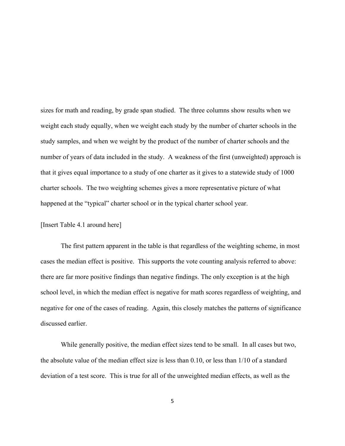sizes for math and reading, by grade span studied. The three columns show results when we weight each study equally, when we weight each study by the number of charter schools in the study samples, and when we weight by the product of the number of charter schools and the number of years of data included in the study. A weakness of the first (unweighted) approach is that it gives equal importance to a study of one charter as it gives to a statewide study of 1000 charter schools. The two weighting schemes gives a more representative picture of what happened at the "typical" charter school or in the typical charter school year.

## [Insert Table 4.1 around here]

The first pattern apparent in the table is that regardless of the weighting scheme, in most cases the median effect is positive. This supports the vote counting analysis referred to above: there are far more positive findings than negative findings. The only exception is at the high school level, in which the median effect is negative for math scores regardless of weighting, and negative for one of the cases of reading. Again, this closely matches the patterns of significance discussed earlier.

While generally positive, the median effect sizes tend to be small. In all cases but two, the absolute value of the median effect size is less than 0.10, or less than 1/10 of a standard deviation of a test score. This is true for all of the unweighted median effects, as well as the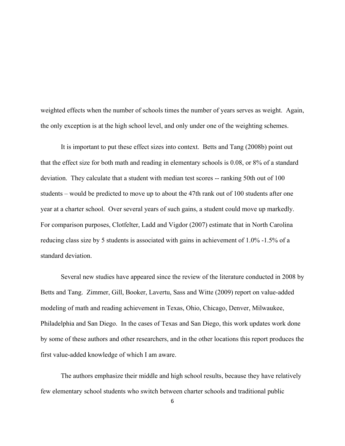weighted effects when the number of schools times the number of years serves as weight. Again, the only exception is at the high school level, and only under one of the weighting schemes.

It is important to put these effect sizes into context. Betts and Tang (2008b) point out that the effect size for both math and reading in elementary schools is 0.08, or 8% of a standard deviation. They calculate that a student with median test scores -- ranking 50th out of 100 students – would be predicted to move up to about the 47th rank out of 100 students after one year at a charter school. Over several years of such gains, a student could move up markedly. For comparison purposes, Clotfelter, Ladd and Vigdor (2007) estimate that in North Carolina reducing class size by 5 students is associated with gains in achievement of 1.0% -1.5% of a standard deviation.

Several new studies have appeared since the review of the literature conducted in 2008 by Betts and Tang. Zimmer, Gill, Booker, Lavertu, Sass and Witte (2009) report on value-added modeling of math and reading achievement in Texas, Ohio, Chicago, Denver, Milwaukee, Philadelphia and San Diego. In the cases of Texas and San Diego, this work updates work done by some of these authors and other researchers, and in the other locations this report produces the first value-added knowledge of which I am aware.

The authors emphasize their middle and high school results, because they have relatively few elementary school students who switch between charter schools and traditional public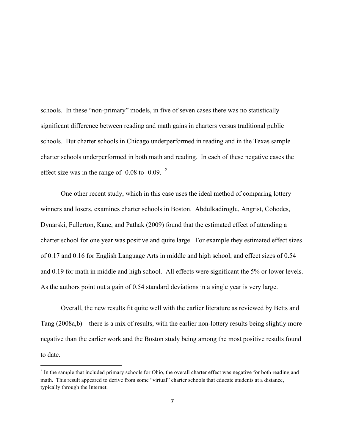schools. In these "non-primary" models, in five of seven cases there was no statistically significant difference between reading and math gains in charters versus traditional public schools. But charter schools in Chicago underperformed in reading and in the Texas sample charter schools underperformed in both math and reading. In each of these negative cases the effect size was in the range of  $-0.08$  to  $-0.09$ . <sup>2</sup>

One other recent study, which in this case uses the ideal method of comparing lottery winners and losers, examines charter schools in Boston. Abdulkadiroglu, Angrist, Cohodes, Dynarski, Fullerton, Kane, and Pathak (2009) found that the estimated effect of attending a charter school for one year was positive and quite large. For example they estimated effect sizes of 0.17 and 0.16 for English Language Arts in middle and high school, and effect sizes of 0.54 and 0.19 for math in middle and high school. All effects were significant the 5% or lower levels. As the authors point out a gain of 0.54 standard deviations in a single year is very large.

Overall, the new results fit quite well with the earlier literature as reviewed by Betts and Tang (2008a,b) – there is a mix of results, with the earlier non-lottery results being slightly more negative than the earlier work and the Boston study being among the most positive results found to date.

 

<sup>&</sup>lt;sup>2</sup> In the sample that included primary schools for Ohio, the overall charter effect was negative for both reading and math. This result appeared to derive from some "virtual" charter schools that educate students at a distance, typically through the Internet.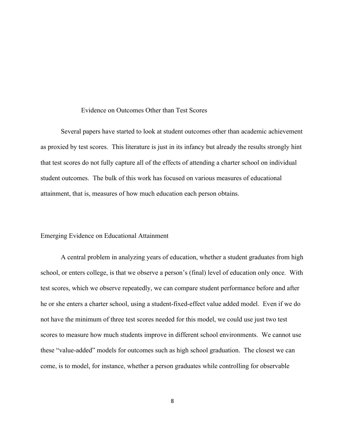## Evidence on Outcomes Other than Test Scores

Several papers have started to look at student outcomes other than academic achievement as proxied by test scores. This literature is just in its infancy but already the results strongly hint that test scores do not fully capture all of the effects of attending a charter school on individual student outcomes. The bulk of this work has focused on various measures of educational attainment, that is, measures of how much education each person obtains.

#### Emerging Evidence on Educational Attainment

A central problem in analyzing years of education, whether a student graduates from high school, or enters college, is that we observe a person's (final) level of education only once. With test scores, which we observe repeatedly, we can compare student performance before and after he or she enters a charter school, using a student-fixed-effect value added model. Even if we do not have the minimum of three test scores needed for this model, we could use just two test scores to measure how much students improve in different school environments. We cannot use these "value-added" models for outcomes such as high school graduation. The closest we can come, is to model, for instance, whether a person graduates while controlling for observable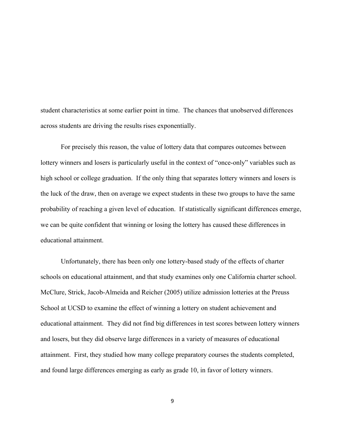student characteristics at some earlier point in time. The chances that unobserved differences across students are driving the results rises exponentially.

For precisely this reason, the value of lottery data that compares outcomes between lottery winners and losers is particularly useful in the context of "once-only" variables such as high school or college graduation. If the only thing that separates lottery winners and losers is the luck of the draw, then on average we expect students in these two groups to have the same probability of reaching a given level of education. If statistically significant differences emerge, we can be quite confident that winning or losing the lottery has caused these differences in educational attainment.

Unfortunately, there has been only one lottery-based study of the effects of charter schools on educational attainment, and that study examines only one California charter school. McClure, Strick, Jacob-Almeida and Reicher (2005) utilize admission lotteries at the Preuss School at UCSD to examine the effect of winning a lottery on student achievement and educational attainment. They did not find big differences in test scores between lottery winners and losers, but they did observe large differences in a variety of measures of educational attainment. First, they studied how many college preparatory courses the students completed, and found large differences emerging as early as grade 10, in favor of lottery winners.

9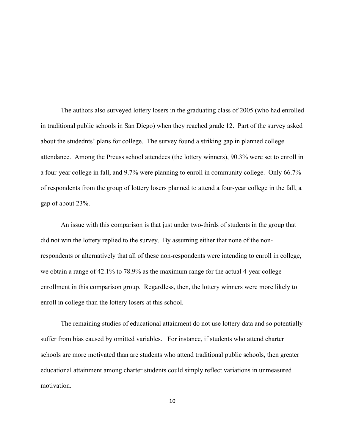The authors also surveyed lottery losers in the graduating class of 2005 (who had enrolled in traditional public schools in San Diego) when they reached grade 12. Part of the survey asked about the studednts' plans for college. The survey found a striking gap in planned college attendance. Among the Preuss school attendees (the lottery winners), 90.3% were set to enroll in a four-year college in fall, and 9.7% were planning to enroll in community college. Only 66.7% of respondents from the group of lottery losers planned to attend a four-year college in the fall, a gap of about 23%.

An issue with this comparison is that just under two-thirds of students in the group that did not win the lottery replied to the survey. By assuming either that none of the nonrespondents or alternatively that all of these non-respondents were intending to enroll in college, we obtain a range of 42.1% to 78.9% as the maximum range for the actual 4-year college enrollment in this comparison group. Regardless, then, the lottery winners were more likely to enroll in college than the lottery losers at this school.

The remaining studies of educational attainment do not use lottery data and so potentially suffer from bias caused by omitted variables. For instance, if students who attend charter schools are more motivated than are students who attend traditional public schools, then greater educational attainment among charter students could simply reflect variations in unmeasured motivation.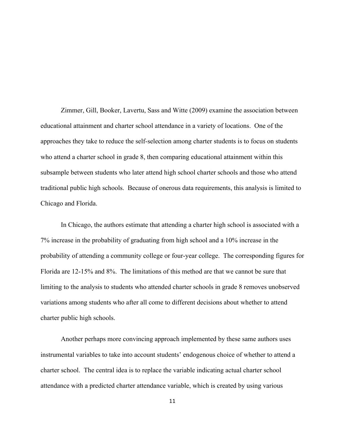Zimmer, Gill, Booker, Lavertu, Sass and Witte (2009) examine the association between educational attainment and charter school attendance in a variety of locations. One of the approaches they take to reduce the self-selection among charter students is to focus on students who attend a charter school in grade 8, then comparing educational attainment within this subsample between students who later attend high school charter schools and those who attend traditional public high schools. Because of onerous data requirements, this analysis is limited to Chicago and Florida.

In Chicago, the authors estimate that attending a charter high school is associated with a 7% increase in the probability of graduating from high school and a 10% increase in the probability of attending a community college or four-year college. The corresponding figures for Florida are 12-15% and 8%. The limitations of this method are that we cannot be sure that limiting to the analysis to students who attended charter schools in grade 8 removes unobserved variations among students who after all come to different decisions about whether to attend charter public high schools.

Another perhaps more convincing approach implemented by these same authors uses instrumental variables to take into account students' endogenous choice of whether to attend a charter school. The central idea is to replace the variable indicating actual charter school attendance with a predicted charter attendance variable, which is created by using various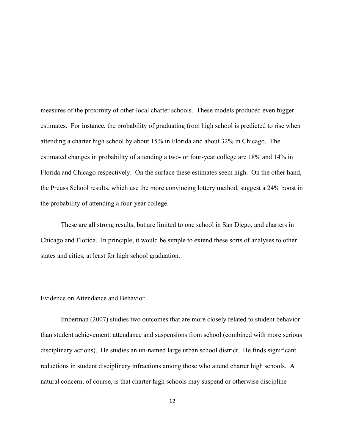measures of the proximity of other local charter schools. These models produced even bigger estimates. For instance, the probability of graduating from high school is predicted to rise when attending a charter high school by about 15% in Florida and about 32% in Chicago. The estimated changes in probability of attending a two- or four-year college are 18% and 14% in Florida and Chicago respectively. On the surface these estimates seem high. On the other hand, the Preuss School results, which use the more convincing lottery method, suggest a 24% boost in the probability of attending a four-year college.

These are all strong results, but are limited to one school in San Diego, and charters in Chicago and Florida. In principle, it would be simple to extend these sorts of analyses to other states and cities, at least for high school graduation.

## Evidence on Attendance and Behavior

Imberman (2007) studies two outcomes that are more closely related to student behavior than student achievement: attendance and suspensions from school (combined with more serious disciplinary actions). He studies an un-named large urban school district. He finds significant reductions in student disciplinary infractions among those who attend charter high schools. A natural concern, of course, is that charter high schools may suspend or otherwise discipline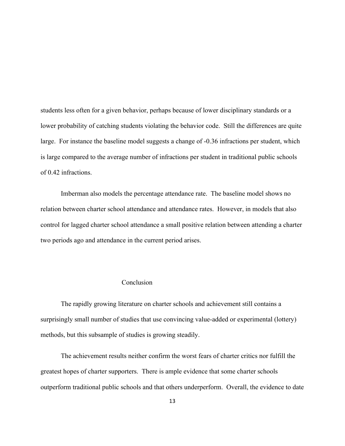students less often for a given behavior, perhaps because of lower disciplinary standards or a lower probability of catching students violating the behavior code. Still the differences are quite large. For instance the baseline model suggests a change of -0.36 infractions per student, which is large compared to the average number of infractions per student in traditional public schools of 0.42 infractions.

Imberman also models the percentage attendance rate. The baseline model shows no relation between charter school attendance and attendance rates. However, in models that also control for lagged charter school attendance a small positive relation between attending a charter two periods ago and attendance in the current period arises.

## Conclusion

The rapidly growing literature on charter schools and achievement still contains a surprisingly small number of studies that use convincing value-added or experimental (lottery) methods, but this subsample of studies is growing steadily.

The achievement results neither confirm the worst fears of charter critics nor fulfill the greatest hopes of charter supporters. There is ample evidence that some charter schools outperform traditional public schools and that others underperform. Overall, the evidence to date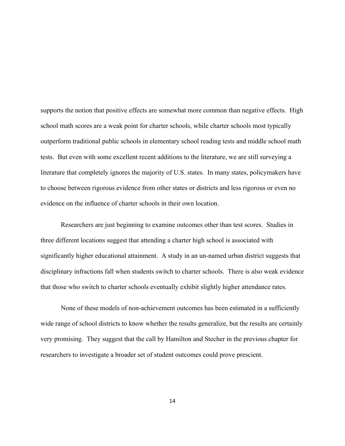supports the notion that positive effects are somewhat more common than negative effects. High school math scores are a weak point for charter schools, while charter schools most typically outperform traditional public schools in elementary school reading tests and middle school math tests. But even with some excellent recent additions to the literature, we are still surveying a literature that completely ignores the majority of U.S. states. In many states, policymakers have to choose between rigorous evidence from other states or districts and less rigorous or even no evidence on the influence of charter schools in their own location.

Researchers are just beginning to examine outcomes other than test scores. Studies in three different locations suggest that attending a charter high school is associated with significantly higher educational attainment. A study in an un-named urban district suggests that disciplinary infractions fall when students switch to charter schools. There is also weak evidence that those who switch to charter schools eventually exhibit slightly higher attendance rates.

None of these models of non-achievement outcomes has been estimated in a sufficiently wide range of school districts to know whether the results generalize, but the results are certainly very promising. They suggest that the call by Hamilton and Stecher in the previous chapter for researchers to investigate a broader set of student outcomes could prove prescient.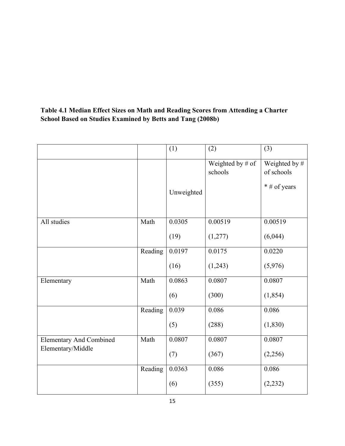# **Table 4.1 Median Effect Sizes on Math and Reading Scores from Attending a Charter School Based on Studies Examined by Betts and Tang (2008b)**

|                                                     |         | (1)        | (2)                         | (3)                         |
|-----------------------------------------------------|---------|------------|-----------------------------|-----------------------------|
|                                                     |         |            | Weighted by # of<br>schools | Weighted by #<br>of schools |
|                                                     |         | Unweighted |                             | * # of years                |
| All studies                                         | Math    | 0.0305     | 0.00519                     | 0.00519                     |
|                                                     |         | (19)       | (1,277)                     | (6,044)                     |
|                                                     | Reading | 0.0197     | 0.0175                      | 0.0220                      |
|                                                     |         | (16)       | (1,243)                     | (5,976)                     |
| Elementary                                          | Math    | 0.0863     | 0.0807                      | 0.0807                      |
|                                                     |         | (6)        | (300)                       | (1, 854)                    |
|                                                     | Reading | 0.039      | 0.086                       | 0.086                       |
|                                                     |         | (5)        | (288)                       | (1, 830)                    |
| <b>Elementary And Combined</b><br>Elementary/Middle | Math    | 0.0807     | 0.0807                      | 0.0807                      |
|                                                     |         | (7)        | (367)                       | (2,256)                     |
|                                                     | Reading | 0.0363     | 0.086                       | 0.086                       |
|                                                     |         | (6)        | (355)                       | (2, 232)                    |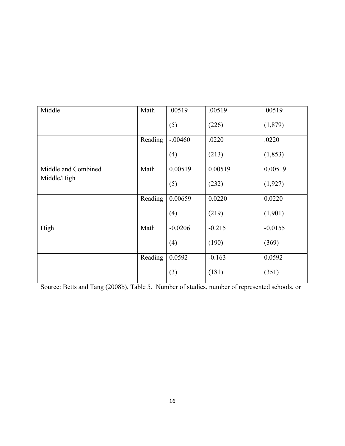| Middle                             | Math    | .00519    | .00519   | .00519    |
|------------------------------------|---------|-----------|----------|-----------|
|                                    |         | (5)       | (226)    | (1,879)   |
|                                    | Reading | $-.00460$ | .0220    | .0220     |
|                                    |         | (4)       | (213)    | (1, 853)  |
| Middle and Combined<br>Middle/High | Math    | 0.00519   | 0.00519  | 0.00519   |
|                                    |         | (5)       | (232)    | (1, 927)  |
|                                    | Reading | 0.00659   | 0.0220   | 0.0220    |
|                                    |         | (4)       | (219)    | (1,901)   |
| High                               | Math    | $-0.0206$ | $-0.215$ | $-0.0155$ |
|                                    |         | (4)       | (190)    | (369)     |
|                                    | Reading | 0.0592    | $-0.163$ | 0.0592    |
|                                    |         | (3)       | (181)    | (351)     |

Source: Betts and Tang (2008b), Table 5. Number of studies, number of represented schools, or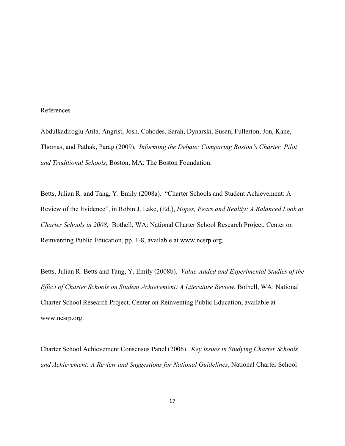#### References

Abdulkadiroglu Atila, Angrist, Josh, Cohodes, Sarah, Dynarski, Susan, Fullerton, Jon, Kane, Thomas, and Pathak, Parag (2009). *Informing the Debate: Comparing Boston's Charter, Pilot and Traditional Schools*, Boston, MA: The Boston Foundation.

Betts, Julian R. and Tang, Y. Emily (2008a). "Charter Schools and Student Achievement: A Review of the Evidence", in Robin J. Lake, (Ed.), *Hopes, Fears and Reality: A Balanced Look at Charter Schools in 2008*, Bothell, WA: National Charter School Research Project, Center on Reinventing Public Education, pp. 1-8, available at www.ncsrp.org.

Betts, Julian R. Betts and Tang, Y. Emily (2008b). *Value-Added and Experimental Studies of the Effect of Charter Schools on Student Achievement: A Literature Review*, Bothell, WA: National Charter School Research Project, Center on Reinventing Public Education, available at www.ncsrp.org.

Charter School Achievement Consensus Panel (2006). *Key Issues in Studying Charter Schools and Achievement: A Review and Suggestions for National Guidelines*, National Charter School